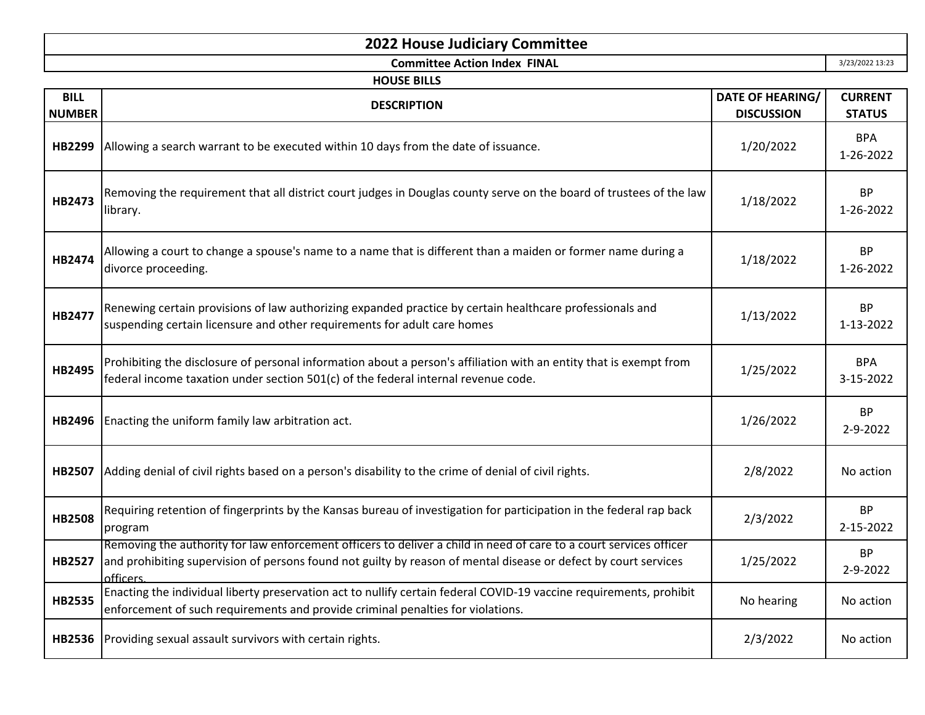## **2022 House Judiciary Committee**

**Committee Action Index FINAL**

3/23/2022 13:23

| <b>HOUSE BILLS</b> |                                                                                                                                                                                                                                                    |                         |                             |
|--------------------|----------------------------------------------------------------------------------------------------------------------------------------------------------------------------------------------------------------------------------------------------|-------------------------|-----------------------------|
| <b>BILL</b>        | <b>DESCRIPTION</b>                                                                                                                                                                                                                                 | <b>DATE OF HEARING/</b> | <b>CURRENT</b>              |
| <b>NUMBER</b>      |                                                                                                                                                                                                                                                    | <b>DISCUSSION</b>       | <b>STATUS</b>               |
| HB2299             | Allowing a search warrant to be executed within 10 days from the date of issuance.                                                                                                                                                                 | 1/20/2022               | <b>BPA</b><br>1-26-2022     |
| HB2473             | Removing the requirement that all district court judges in Douglas county serve on the board of trustees of the law<br>library.                                                                                                                    | 1/18/2022               | <b>BP</b><br>1-26-2022      |
| HB2474             | Allowing a court to change a spouse's name to a name that is different than a maiden or former name during a<br>divorce proceeding.                                                                                                                | 1/18/2022               | <b>BP</b><br>1-26-2022      |
| HB2477             | Renewing certain provisions of law authorizing expanded practice by certain healthcare professionals and<br>suspending certain licensure and other requirements for adult care homes                                                               | 1/13/2022               | <b>BP</b><br>1-13-2022      |
| HB2495             | Prohibiting the disclosure of personal information about a person's affiliation with an entity that is exempt from<br>federal income taxation under section 501(c) of the federal internal revenue code.                                           | 1/25/2022               | <b>BPA</b><br>3-15-2022     |
| HB2496             | Enacting the uniform family law arbitration act.                                                                                                                                                                                                   | 1/26/2022               | <b>BP</b><br>$2 - 9 - 2022$ |
| <b>HB2507</b>      | Adding denial of civil rights based on a person's disability to the crime of denial of civil rights.                                                                                                                                               | 2/8/2022                | No action                   |
| <b>HB2508</b>      | Requiring retention of fingerprints by the Kansas bureau of investigation for participation in the federal rap back<br>program                                                                                                                     | 2/3/2022                | <b>BP</b><br>2-15-2022      |
| HB2527             | Removing the authority for law enforcement officers to deliver a child in need of care to a court services officer<br>and prohibiting supervision of persons found not guilty by reason of mental disease or defect by court services<br>officers. | 1/25/2022               | <b>BP</b><br>2-9-2022       |
| <b>HB2535</b>      | Enacting the individual liberty preservation act to nullify certain federal COVID-19 vaccine requirements, prohibit<br>enforcement of such requirements and provide criminal penalties for violations.                                             | No hearing              | No action                   |
| HB2536             | Providing sexual assault survivors with certain rights.                                                                                                                                                                                            | 2/3/2022                | No action                   |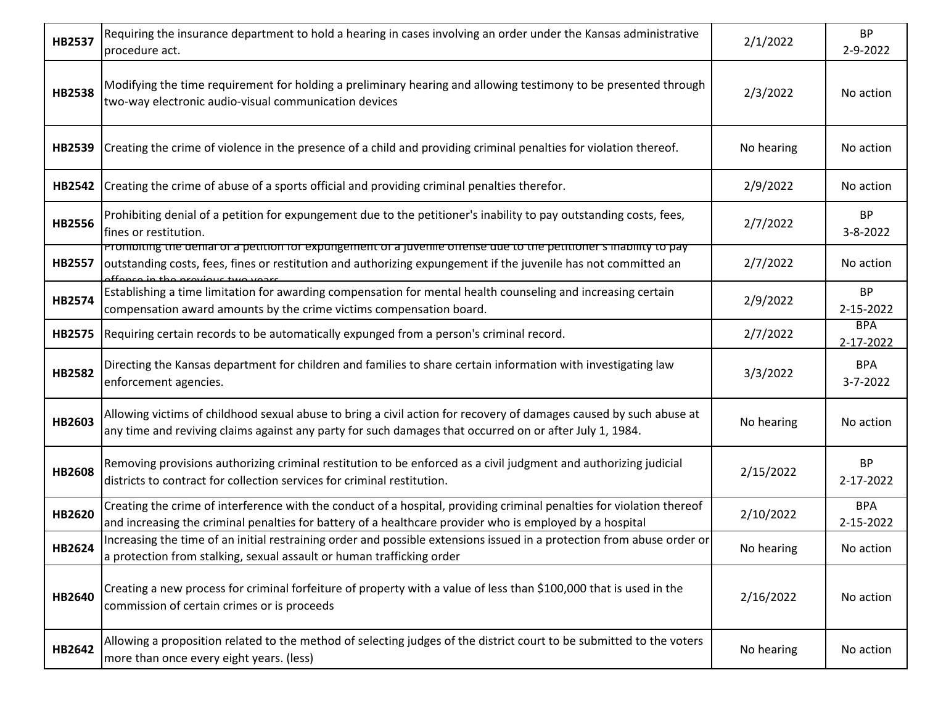| <b>HB2537</b> | Requiring the insurance department to hold a hearing in cases involving an order under the Kansas administrative<br>procedure act.                                                                                                                                         | 2/1/2022   | <b>BP</b><br>2-9-2022   |
|---------------|----------------------------------------------------------------------------------------------------------------------------------------------------------------------------------------------------------------------------------------------------------------------------|------------|-------------------------|
| <b>HB2538</b> | Modifying the time requirement for holding a preliminary hearing and allowing testimony to be presented through<br>two-way electronic audio-visual communication devices                                                                                                   | 2/3/2022   | No action               |
| HB2539        | Creating the crime of violence in the presence of a child and providing criminal penalties for violation thereof.                                                                                                                                                          | No hearing | No action               |
| <b>HB2542</b> | Creating the crime of abuse of a sports official and providing criminal penalties therefor.                                                                                                                                                                                | 2/9/2022   | No action               |
| HB2556        | Prohibiting denial of a petition for expungement due to the petitioner's inability to pay outstanding costs, fees,<br>fines or restitution.                                                                                                                                | 2/7/2022   | <b>BP</b><br>3-8-2022   |
| <b>HB2557</b> | <u>Promoiting the demal or a petition for expungement or a juvenile offense que to the petitioner's mability to pay</u><br>outstanding costs, fees, fines or restitution and authorizing expungement if the juvenile has not committed an<br>ffonce in the provisue two we | 2/7/2022   | No action               |
| <b>HB2574</b> | Establishing a time limitation for awarding compensation for mental health counseling and increasing certain<br>compensation award amounts by the crime victims compensation board.                                                                                        | 2/9/2022   | <b>BP</b><br>2-15-2022  |
| HB2575        | Requiring certain records to be automatically expunged from a person's criminal record.                                                                                                                                                                                    | 2/7/2022   | <b>BPA</b><br>2-17-2022 |
| <b>HB2582</b> | Directing the Kansas department for children and families to share certain information with investigating law<br>enforcement agencies.                                                                                                                                     | 3/3/2022   | <b>BPA</b><br>3-7-2022  |
| HB2603        | Allowing victims of childhood sexual abuse to bring a civil action for recovery of damages caused by such abuse at<br>any time and reviving claims against any party for such damages that occurred on or after July 1, 1984.                                              | No hearing | No action               |
| <b>HB2608</b> | Removing provisions authorizing criminal restitution to be enforced as a civil judgment and authorizing judicial<br>districts to contract for collection services for criminal restitution.                                                                                | 2/15/2022  | <b>BP</b><br>2-17-2022  |
| HB2620        | Creating the crime of interference with the conduct of a hospital, providing criminal penalties for violation thereof<br>and increasing the criminal penalties for battery of a healthcare provider who is employed by a hospital                                          | 2/10/2022  | <b>BPA</b><br>2-15-2022 |
| HB2624        | Increasing the time of an initial restraining order and possible extensions issued in a protection from abuse order or<br>a protection from stalking, sexual assault or human trafficking order                                                                            | No hearing | No action               |
| HB2640        | Creating a new process for criminal forfeiture of property with a value of less than \$100,000 that is used in the<br>commission of certain crimes or is proceeds                                                                                                          | 2/16/2022  | No action               |
| HB2642        | Allowing a proposition related to the method of selecting judges of the district court to be submitted to the voters<br>more than once every eight years. (less)                                                                                                           | No hearing | No action               |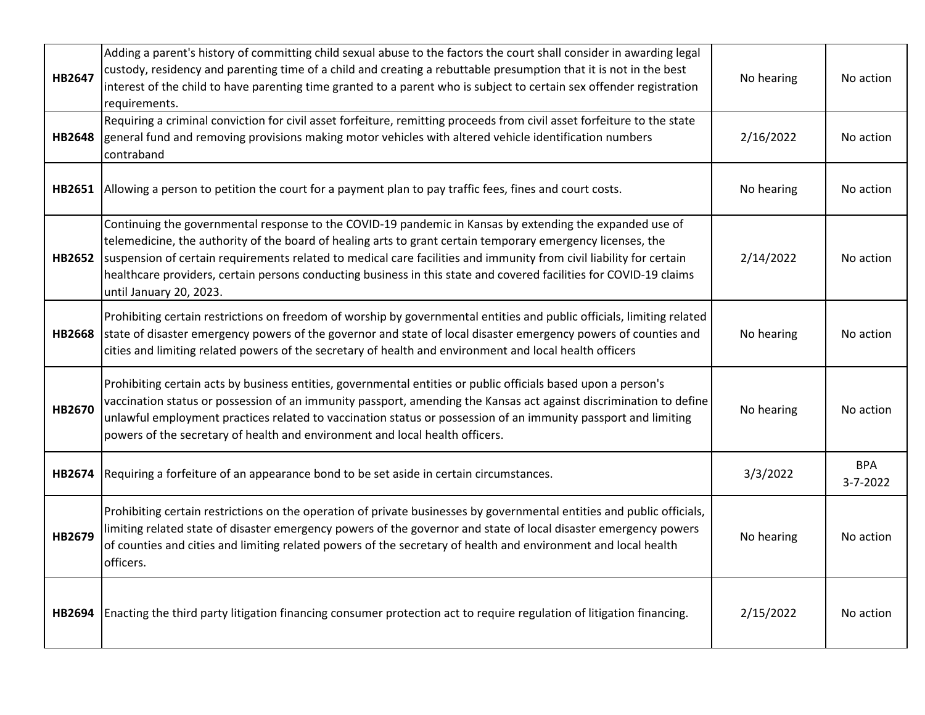| HB2647        | Adding a parent's history of committing child sexual abuse to the factors the court shall consider in awarding legal<br>custody, residency and parenting time of a child and creating a rebuttable presumption that it is not in the best<br>interest of the child to have parenting time granted to a parent who is subject to certain sex offender registration<br>requirements.                                                                                                              | No hearing | No action              |
|---------------|-------------------------------------------------------------------------------------------------------------------------------------------------------------------------------------------------------------------------------------------------------------------------------------------------------------------------------------------------------------------------------------------------------------------------------------------------------------------------------------------------|------------|------------------------|
| <b>HB2648</b> | Requiring a criminal conviction for civil asset forfeiture, remitting proceeds from civil asset forfeiture to the state<br>general fund and removing provisions making motor vehicles with altered vehicle identification numbers<br>contraband                                                                                                                                                                                                                                                 | 2/16/2022  | No action              |
| HB2651        | Allowing a person to petition the court for a payment plan to pay traffic fees, fines and court costs.                                                                                                                                                                                                                                                                                                                                                                                          | No hearing | No action              |
| HB2652        | Continuing the governmental response to the COVID-19 pandemic in Kansas by extending the expanded use of<br>telemedicine, the authority of the board of healing arts to grant certain temporary emergency licenses, the<br>suspension of certain requirements related to medical care facilities and immunity from civil liability for certain<br>healthcare providers, certain persons conducting business in this state and covered facilities for COVID-19 claims<br>until January 20, 2023. | 2/14/2022  | No action              |
| <b>HB2668</b> | Prohibiting certain restrictions on freedom of worship by governmental entities and public officials, limiting related<br>state of disaster emergency powers of the governor and state of local disaster emergency powers of counties and<br>cities and limiting related powers of the secretary of health and environment and local health officers                                                                                                                                            | No hearing | No action              |
| HB2670        | Prohibiting certain acts by business entities, governmental entities or public officials based upon a person's<br>vaccination status or possession of an immunity passport, amending the Kansas act against discrimination to define<br>unlawful employment practices related to vaccination status or possession of an immunity passport and limiting<br>powers of the secretary of health and environment and local health officers.                                                          | No hearing | No action              |
| HB2674        | Requiring a forfeiture of an appearance bond to be set aside in certain circumstances.                                                                                                                                                                                                                                                                                                                                                                                                          | 3/3/2022   | <b>BPA</b><br>3-7-2022 |
| HB2679        | Prohibiting certain restrictions on the operation of private businesses by governmental entities and public officials,<br>limiting related state of disaster emergency powers of the governor and state of local disaster emergency powers<br>of counties and cities and limiting related powers of the secretary of health and environment and local health<br>officers.                                                                                                                       | No hearing | No action              |
| HB2694        | Enacting the third party litigation financing consumer protection act to require regulation of litigation financing.                                                                                                                                                                                                                                                                                                                                                                            | 2/15/2022  | No action              |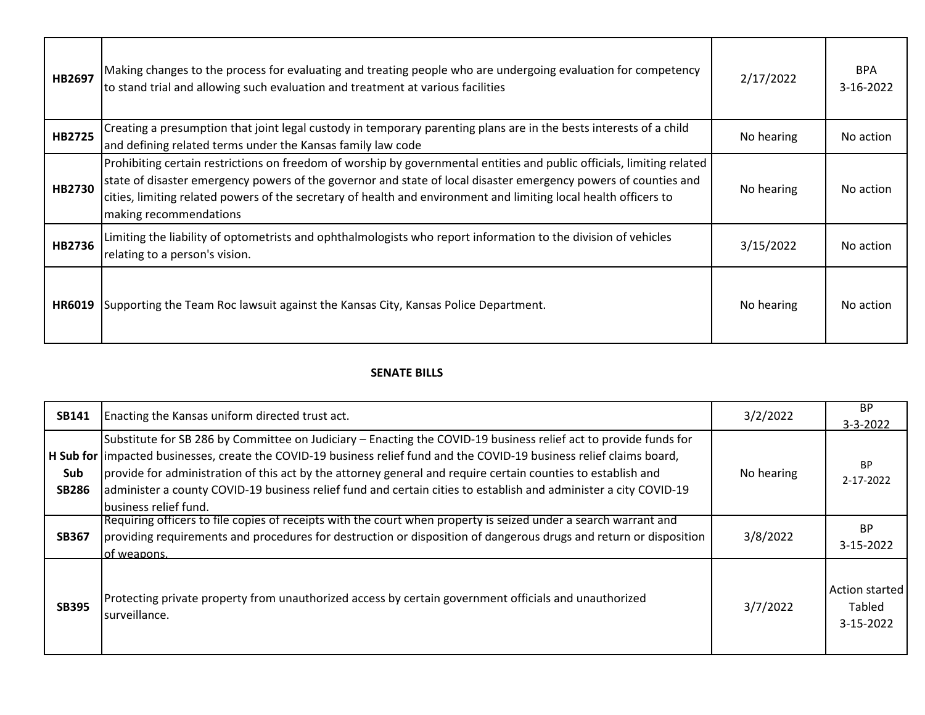| HB2697        | Making changes to the process for evaluating and treating people who are undergoing evaluation for competency<br>to stand trial and allowing such evaluation and treatment at various facilities                                                                                                                                                                                        | 2/17/2022  | <b>BPA</b><br>3-16-2022 |
|---------------|-----------------------------------------------------------------------------------------------------------------------------------------------------------------------------------------------------------------------------------------------------------------------------------------------------------------------------------------------------------------------------------------|------------|-------------------------|
| <b>HB2725</b> | Creating a presumption that joint legal custody in temporary parenting plans are in the bests interests of a child<br>and defining related terms under the Kansas family law code                                                                                                                                                                                                       | No hearing | No action               |
| HB2730        | Prohibiting certain restrictions on freedom of worship by governmental entities and public officials, limiting related<br>state of disaster emergency powers of the governor and state of local disaster emergency powers of counties and<br>cities, limiting related powers of the secretary of health and environment and limiting local health officers to<br>making recommendations | No hearing | No action               |
| HB2736        | Limiting the liability of optometrists and ophthalmologists who report information to the division of vehicles<br>relating to a person's vision.                                                                                                                                                                                                                                        | 3/15/2022  | No action               |
| HR6019        | Supporting the Team Roc lawsuit against the Kansas City, Kansas Police Department.                                                                                                                                                                                                                                                                                                      | No hearing | No action               |

## **SENATE BILLS**

| <b>SB141</b>        | Enacting the Kansas uniform directed trust act.                                                                                                                                                                                                                                                                                                                                                                                                                                                          | 3/2/2022   | <b>BP</b><br>$3 - 3 - 2022$           |
|---------------------|----------------------------------------------------------------------------------------------------------------------------------------------------------------------------------------------------------------------------------------------------------------------------------------------------------------------------------------------------------------------------------------------------------------------------------------------------------------------------------------------------------|------------|---------------------------------------|
| Sub<br><b>SB286</b> | Substitute for SB 286 by Committee on Judiciary – Enacting the COVID-19 business relief act to provide funds for<br>H Sub for limpacted businesses, create the COVID-19 business relief fund and the COVID-19 business relief claims board,<br>provide for administration of this act by the attorney general and require certain counties to establish and<br>administer a county COVID-19 business relief fund and certain cities to establish and administer a city COVID-19<br>business relief fund. | No hearing | <b>BP</b><br>2-17-2022                |
| <b>SB367</b>        | Requiring officers to file copies of receipts with the court when property is seized under a search warrant and<br>providing requirements and procedures for destruction or disposition of dangerous drugs and return or disposition<br>lof weapons.                                                                                                                                                                                                                                                     | 3/8/2022   | <b>BP</b><br>3-15-2022                |
| <b>SB395</b>        | Protecting private property from unauthorized access by certain government officials and unauthorized<br>surveillance.                                                                                                                                                                                                                                                                                                                                                                                   | 3/7/2022   | Action started<br>Tabled<br>3-15-2022 |